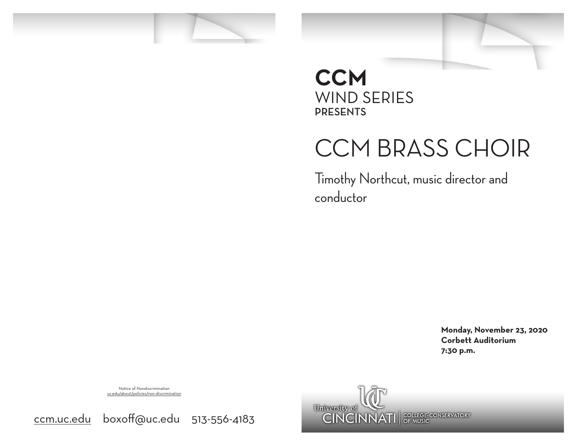

### **CCM** WIND SERIES PRESENTS

# CCM BRASS CHOIR

Timothy Northcut, music director and conductor

> **Monday, November 23, 2020 Corbett Auditorium 7:30 p.m.**

Notice of Nondiscrimination uc.edu/about/policies/non-discrimination



ccm.uc.edu boxoff@uc.edu 513-556-4183